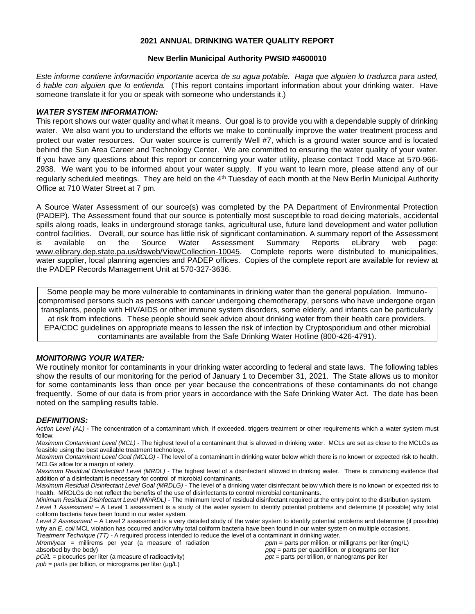#### **2021 ANNUAL DRINKING WATER QUALITY REPORT**

#### **New Berlin Municipal Authority PWSID #4600010**

*Este informe contiene información importante acerca de su agua potable. Haga que alguien lo traduzca para usted, ó hable con alguien que lo entienda.* (This report contains important information about your drinking water. Have someone translate it for you or speak with someone who understands it.)

#### *WATER SYSTEM INFORMATION:*

This report shows our water quality and what it means. Our goal is to provide you with a dependable supply of drinking water. We also want you to understand the efforts we make to continually improve the water treatment process and protect our water resources. Our water source is currently Well #7, which is a ground water source and is located behind the Sun Area Career and Technology Center. We are committed to ensuring the water quality of your water. If you have any questions about this report or concerning your water utility, please contact Todd Mace at 570-966- 2938. We want you to be informed about your water supply. If you want to learn more, please attend any of our regularly scheduled meetings. They are held on the 4<sup>th</sup> Tuesday of each month at the New Berlin Municipal Authority Office at 710 Water Street at 7 pm.

A Source Water Assessment of our source(s) was completed by the PA Department of Environmental Protection (PADEP). The Assessment found that our source is potentially most susceptible to road deicing materials, accidental spills along roads, leaks in underground storage tanks, agricultural use, future land development and water pollution control facilities. Overall, our source has little risk of significant contamination. A summary report of the Assessment is available on the Source Water Assessment Summary Reports eLibrary web page: [www.elibrary.dep.state.pa.us/dsweb/View/Collection-10045.](http://www.elibrary.dep.state.pa.us/dsweb/View/Collection-10045) Complete reports were distributed to municipalities, water supplier, local planning agencies and PADEP offices. Copies of the complete report are available for review at the PADEP Records Management Unit at 570-327-3636.

Some people may be more vulnerable to contaminants in drinking water than the general population. Immunocompromised persons such as persons with cancer undergoing chemotherapy, persons who have undergone organ transplants, people with HIV/AIDS or other immune system disorders, some elderly, and infants can be particularly at risk from infections. These people should seek advice about drinking water from their health care providers. EPA/CDC guidelines on appropriate means to lessen the risk of infection by Cryptosporidium and other microbial contaminants are available from the Safe Drinking Water Hotline (800-426-4791).

### *MONITORING YOUR WATER:*

We routinely monitor for contaminants in your drinking water according to federal and state laws. The following tables show the results of our monitoring for the period of January 1 to December 31, 2021. The State allows us to monitor for some contaminants less than once per year because the concentrations of these contaminants do not change frequently. Some of our data is from prior years in accordance with the Safe Drinking Water Act. The date has been noted on the sampling results table.

#### *DEFINITIONS:*

*Action Level (AL)* **-** The concentration of a contaminant which, if exceeded, triggers treatment or other requirements which a water system must follow.

*Maximum Contaminant Level (MCL)* - The highest level of a contaminant that is allowed in drinking water. MCLs are set as close to the MCLGs as feasible using the best available treatment technology.

*Maximum Contaminant Level Goal (MCLG)* - The level of a contaminant in drinking water below which there is no known or expected risk to health. MCLGs allow for a margin of safety.

*Maximum Residual Disinfectant Level (MRDL)* - The highest level of a disinfectant allowed in drinking water. There is convincing evidence that addition of a disinfectant is necessary for control of microbial contaminants.

*Maximum Residual Disinfectant Level Goal (MRDLG)* - The level of a drinking water disinfectant below which there is no known or expected risk to health. MRDLGs do not reflect the benefits of the use of disinfectants to control microbial contaminants.

*Minimum Residual Disinfectant Level (MinRDL) -* The minimum level of residual disinfectant required at the entry point to the distribution system. *Level 1 Assessment –* A Level 1 assessment is a study of the water system to identify potential problems and determine (if possible) why total coliform bacteria have been found in our water system.

*Level 2 Assessment –* A Level 2 assessment is a very detailed study of the water system to identify potential problems and determine (if possible) why an *E. coli* MCL violation has occurred and/or why total coliform bacteria have been found in our water system on multiple occasions. *Treatment Technique (TT) -* A required process intended to reduce the level of a contaminant in drinking water.

*Mrem/year =* millirems per year (a measure of radiation absorbed by the body)

*ppm* = parts per million, or milligrams per liter (mg/L) *ppq* = parts per quadrillion, or picograms per liter *ppt* = parts per trillion, or nanograms per liter

*pCi/L =* picocuries per liter (a measure of radioactivity)

*ppb* = parts per billion, or micrograms per liter (μg/L)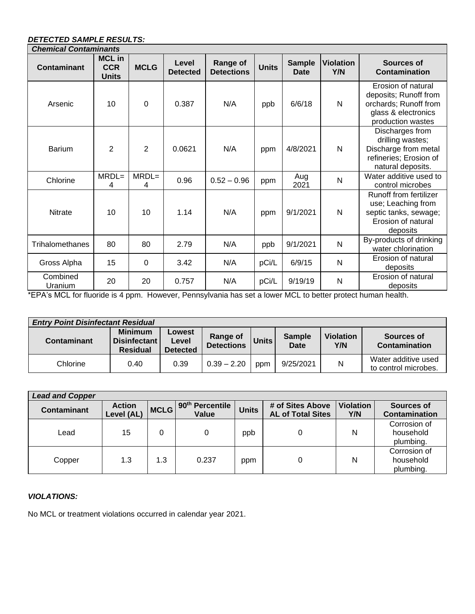# *DETECTED SAMPLE RESULTS:*

| <b>Chemical Contaminants</b> |                                             |                |                          |                                      |              |                              |                         |                                                                                                                  |
|------------------------------|---------------------------------------------|----------------|--------------------------|--------------------------------------|--------------|------------------------------|-------------------------|------------------------------------------------------------------------------------------------------------------|
| <b>Contaminant</b>           | <b>MCL</b> in<br><b>CCR</b><br><b>Units</b> | <b>MCLG</b>    | Level<br><b>Detected</b> | <b>Range of</b><br><b>Detections</b> | <b>Units</b> | <b>Sample</b><br><b>Date</b> | <b>Violation</b><br>Y/N | Sources of<br>Contamination                                                                                      |
| Arsenic                      | 10                                          | 0              | 0.387                    | N/A                                  | ppb          | 6/6/18                       | N                       | Erosion of natural<br>deposits; Runoff from<br>orchards; Runoff from<br>glass & electronics<br>production wastes |
| <b>Barium</b>                | $\overline{2}$                              | $\overline{2}$ | 0.0621                   | N/A                                  | ppm          | 4/8/2021                     | N                       | Discharges from<br>drilling wastes;<br>Discharge from metal<br>refineries; Erosion of<br>natural deposits.       |
| Chlorine                     | $MRDL=$<br>4                                | $MRDL=$<br>4   | 0.96                     | $0.52 - 0.96$                        | ppm          | Aug<br>2021                  | N                       | Water additive used to<br>control microbes                                                                       |
| <b>Nitrate</b>               | 10                                          | 10             | 1.14                     | N/A                                  | ppm          | 9/1/2021                     | N                       | Runoff from fertilizer<br>use; Leaching from<br>septic tanks, sewage;<br>Erosion of natural<br>deposits          |
| Trihalomethanes              | 80                                          | 80             | 2.79                     | N/A                                  | ppb          | 9/1/2021                     | $\mathsf{N}$            | By-products of drinking<br>water chlorination                                                                    |
| Gross Alpha                  | 15                                          | 0              | 3.42                     | N/A                                  | pCi/L        | 6/9/15                       | N                       | Erosion of natural<br>deposits                                                                                   |
| Combined<br>Uranium          | 20                                          | 20             | 0.757                    | N/A                                  | pCi/L        | 9/19/19                      | $\mathsf{N}$            | Erosion of natural<br>deposits                                                                                   |

\*EPA's MCL for fluoride is 4 ppm. However, Pennsylvania has set a lower MCL to better protect human health.

| <b>Entry Point Disinfectant Residual</b> |                                                   |                                    |                                      |                    |                              |                         |                                             |  |  |
|------------------------------------------|---------------------------------------------------|------------------------------------|--------------------------------------|--------------------|------------------------------|-------------------------|---------------------------------------------|--|--|
| Contaminant                              | <b>Minimum</b><br>Disinfectant<br><b>Residual</b> | Lowest<br>Level<br><b>Detected</b> | <b>Range of</b><br><b>Detections</b> | Units <sup>1</sup> | <b>Sample</b><br><b>Date</b> | <b>Violation</b><br>Y/N | Sources of<br>Contamination                 |  |  |
| Chlorine                                 | 0.40                                              | 0.39                               | $0.39 - 2.20$                        | ppm                | 9/25/2021                    | N                       | Water additive used<br>to control microbes. |  |  |

| <b>Lead and Copper</b> |                             |             |                                      |              |                                              |                         |                                        |  |  |
|------------------------|-----------------------------|-------------|--------------------------------------|--------------|----------------------------------------------|-------------------------|----------------------------------------|--|--|
| Contaminant            | <b>Action</b><br>Level (AL) | <b>MCLG</b> | 90 <sup>th</sup> Percentile<br>Value | <b>Units</b> | # of Sites Above<br><b>AL of Total Sites</b> | <b>Violation</b><br>Y/N | Sources of<br><b>Contamination</b>     |  |  |
| Lead                   | 15                          |             |                                      | ppb          | 0                                            | N                       | Corrosion of<br>household<br>plumbing. |  |  |
| Copper                 | 1.3                         | 1.3         | 0.237                                | ppm          | 0                                            | N                       | Corrosion of<br>household<br>plumbing. |  |  |

## *VIOLATIONS:*

No MCL or treatment violations occurred in calendar year 2021.